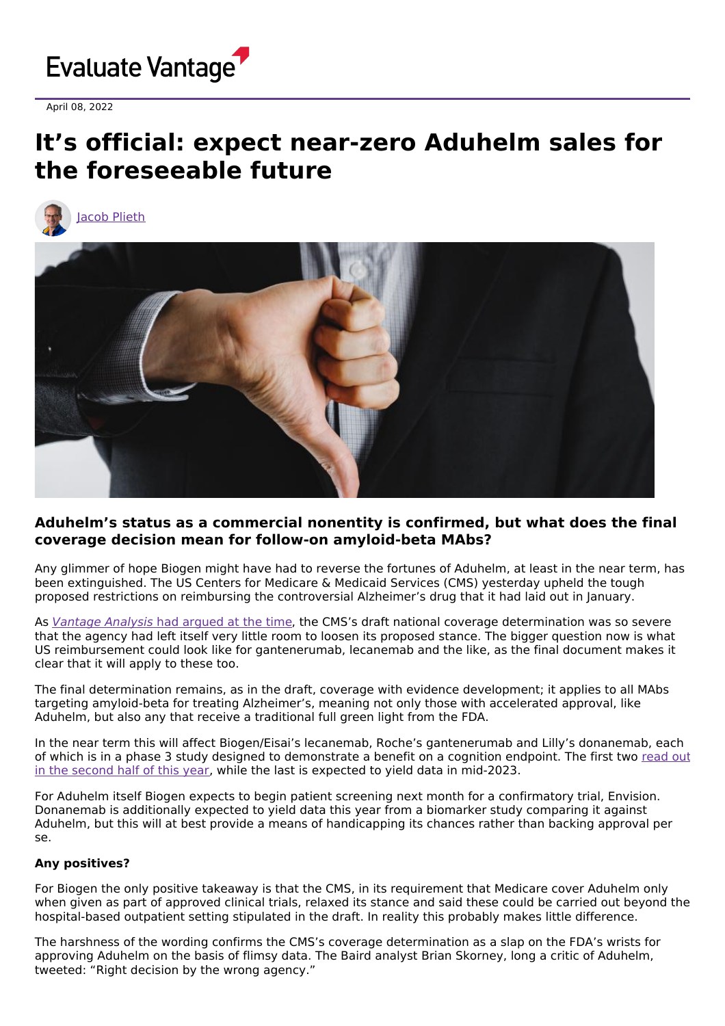

April 08, 2022

## **It's official: expect near-zero Aduhelm sales for the foreseeable future**



## **Aduhelm's status as a commercial nonentity is confirmed, but what does the final coverage decision mean for follow-on amyloid-beta MAbs?**

Any glimmer of hope Biogen might have had to reverse the fortunes of Aduhelm, at least in the near term, has been extinguished. The US Centers for Medicare & Medicaid Services (CMS) yesterday upheld the tough proposed restrictions on reimbursing the controversial Alzheimer's drug that it had laid out in January.

As [Vantage](https://www.evaluate.com/vantage/articles/news/policy-and-regulation/aduhelm-verdict-puts-heat-biogen-and-fda) Analysis had argued at the time, the CMS's draft national coverage determination was so severe that the agency had left itself very little room to loosen its proposed stance. The bigger question now is what US reimbursement could look like for gantenerumab, lecanemab and the like, as the final document makes it clear that it will apply to these too.

The final determination remains, as in the draft, coverage with evidence development; it applies to all MAbs targeting amyloid-beta for treating Alzheimer's, meaning not only those with accelerated approval, like Aduhelm, but also any that receive a traditional full green light from the FDA.

In the near term this will affect Biogen/Eisai's lecanemab, Roche's gantenerumab and Lilly's donanemab, each of which is in a phase 3 study designed to [demonstrate](https://www.evaluate.com/vantage/articles/news/corporate-strategy/lilly-and-roche-learn-biogens-mistakes) a benefit on a cognition endpoint. The first two read out in the second half of this year, while the last is expected to yield data in mid-2023.

For Aduhelm itself Biogen expects to begin patient screening next month for a confirmatory trial, Envision. Donanemab is additionally expected to yield data this year from a biomarker study comparing it against Aduhelm, but this will at best provide a means of handicapping its chances rather than backing approval per se.

## **Any positives?**

For Biogen the only positive takeaway is that the CMS, in its requirement that Medicare cover Aduhelm only when given as part of approved clinical trials, relaxed its stance and said these could be carried out beyond the hospital-based outpatient setting stipulated in the draft. In reality this probably makes little difference.

The harshness of the wording confirms the CMS's coverage determination as a slap on the FDA's wrists for approving Aduhelm on the basis of flimsy data. The Baird analyst Brian Skorney, long a critic of Aduhelm, tweeted: "Right decision by the wrong agency."